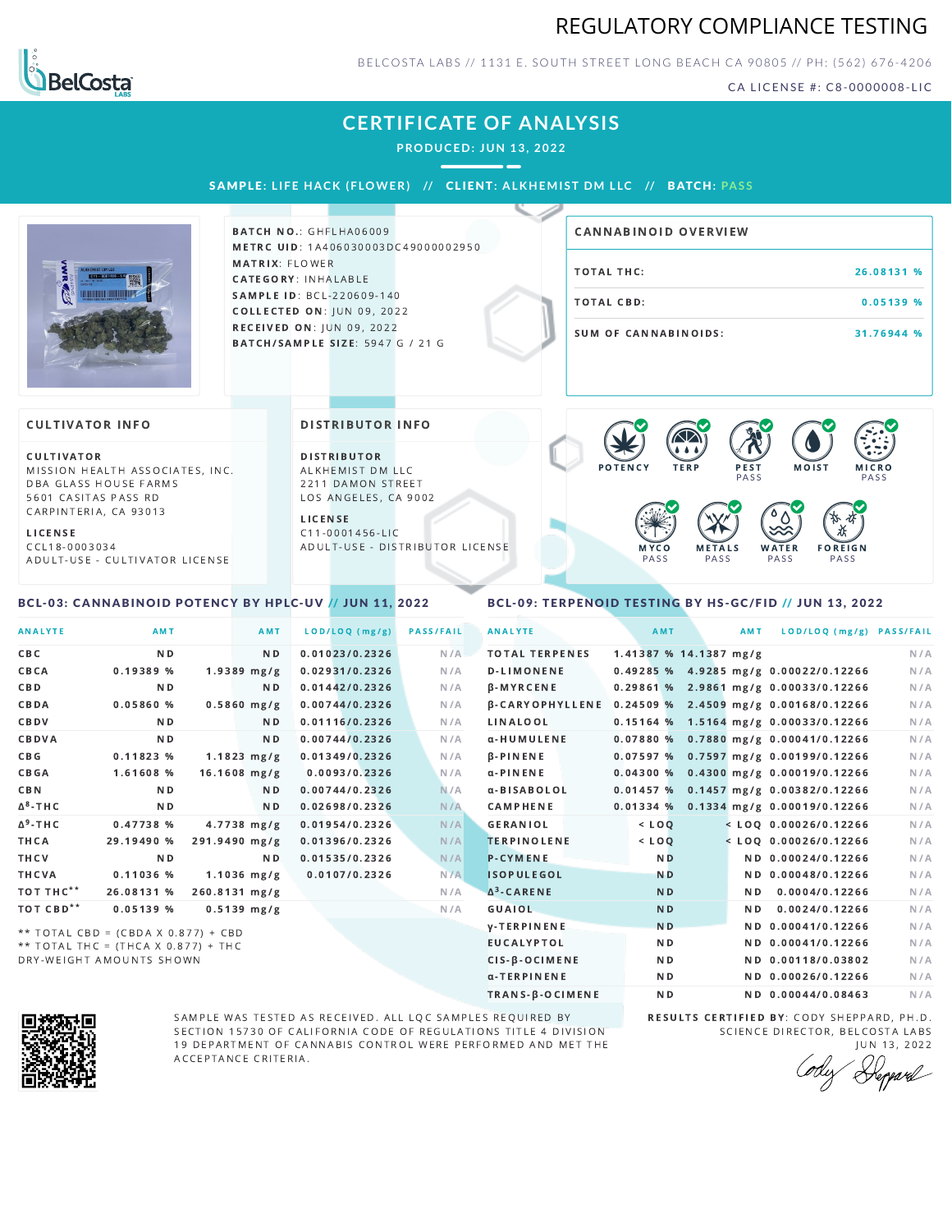# REGULATORY COMPLIANCE TESTING



BELCOSTA LABS // 1131 E. SOUTH STREET LONG BEACH C A 90805 // PH: (562) 676-4206

CA LICENSE #: C8-0000008-LIC

# **CERTIFICATE OF ANALYSIS**

**PRODUCED: JUN 13, 2022**

SAMPLE: LIFE HACK (FLOWER) // CLIENT: ALKHEMIST DM LLC // BATCH: PASS



**BATCH NO.: GHFLHA06009** METRC UID: 1A406030003DC49000002950 MATRIX: FLOWER CATEGORY: INHALABLE SAMPLE ID: BCL-220609-140 **COLLECTED ON: JUN 09, 2022** RECEIVED ON: JUN 09, 2022 BATCH/SAMPLE SIZE: 5947 G / 21 G

# TOTAL THC: 26.08131 % TOTAL CBD: 0.05139 % SUM OF CANNABINOIDS: 31.76944 % CANNABINOID OVERVIEW

#### **CULTIVATOR INFO**

CULTIVATOR MISSION HEALTH ASSOCIATES, INC. DBA GLASS HOUSE FARMS 5601 CASITAS PASS RD CARPINTERIA, CA 93013

L I C E N S E

C C L 1 8 - 0 0 0 3 0 3 4 A D U L T - U S E - C U L T I V A T O R L I CENSE

<span id="page-0-0"></span>BCL-03: CANNABINOID POTENCY BY HPLC-UV // JUN 11, 2022

#### DISTRIBUTOR INFO

D I STRIBUTOR ALKHEMIST DM LLC 2211 DAMON STREET LOS ANGELES, CA 9002

L I C E N S E C 1 1 - 0 0 0 1 4 5 6 - L I C A D U L T - U S E - D I STRIBUTOR LICENSE



### <span id="page-0-1"></span>BCL-09: TERPENOID TESTING BY HS-GC/FID // JUN 13, 2022

| <b>ANALYTE</b>        | AMT                                 | <b>AMT</b>            | LOD/LOQ (mg/g) | <b>PASS/FAIL</b> | <b>ANALYTE</b>         | AMT            | <b>AMT</b>             | LOD/LOQ (mg/g) PASS/FAIL                |     |
|-----------------------|-------------------------------------|-----------------------|----------------|------------------|------------------------|----------------|------------------------|-----------------------------------------|-----|
| <b>CBC</b>            | ND.                                 | N <sub>D</sub>        | 0.01023/0.2326 | N/A              | <b>TOTAL TERPENES</b>  |                | 1.41387 % 14.1387 mg/g |                                         | N/A |
| CBCA                  | 0.19389 %                           | $1.9389$ mg/g         | 0.02931/0.2326 | N/A              | <b>D-LIMONENE</b>      |                |                        | 0.49285 % 4.9285 mg/g 0.00022/0.12266   | N/A |
| <b>CBD</b>            | N <sub>D</sub>                      | ND.                   | 0.01442/0.2326 | N/A              | β-MYRCENE              |                |                        | $0.29861\%$ 2.9861 mg/g 0.00033/0.12266 | N/A |
| CBDA                  | 0.05860%                            | $0.5860$ mg/g         | 0.00744/0.2326 | N/A              | <b>B-CARYOPHYLLENE</b> |                |                        | 0.24509 % 2.4509 mg/g 0.00168/0.12266   | N/A |
| CBDV                  | N <sub>D</sub>                      | ND.                   | 0.01116/0.2326 | N/A              | LINALOOL               |                |                        | $0.15164$ % 1.5164 mg/g 0.00033/0.12266 | N/A |
| CBDVA                 | N <sub>D</sub>                      | ND.                   | 0.00744/0.2326 | N/A              | α-HUMULENE             |                |                        | 0.07880 % 0.7880 mg/g 0.00041/0.12266   | N/A |
| CBG                   | 0.11823%                            | $1.1823 \text{ mg/g}$ | 0.01349/0.2326 | N/A              | $\beta$ -PINENE        |                |                        | 0.07597 % 0.7597 mg/g 0.00199/0.12266   | N/A |
| <b>CBGA</b>           | 1.61608 %                           | $16.1608$ mg/g        | 0.0093/0.2326  | N/A              | $\alpha$ -PINENE       | 0.04300%       |                        | 0.4300 mg/g 0.00019/0.12266             | N/A |
| <b>CBN</b>            | N <sub>D</sub>                      | N <sub>D</sub>        | 0.00744/0.2326 | N/A              | α-BISABOLOL            |                |                        | 0.01457 % 0.1457 mg/g 0.00382/0.12266   | N/A |
| $\Delta^8$ -THC       | N <sub>D</sub>                      | N <sub>D</sub>        | 0.02698/0.2326 | N/A              | CAMPHENE               | 0.01334%       |                        | $0.1334$ mg/g $0.00019/0.12266$         | N/A |
| $\Delta^9$ -THC       | 0.47738%                            | $4.7738$ mg/g         | 0.01954/0.2326 | N/A              | <b>GERANIOL</b>        | $<$ LOQ        |                        | $<$ LOO 0.00026/0.12266                 | N/A |
| THCA                  | 29.19490 %                          | 291.9490 mg/g         | 0.01396/0.2326 | N/A              | <b>TERPINOLENE</b>     | $<$ LOQ        |                        | $<$ LOQ 0.00026/0.12266                 | N/A |
| THCV                  | N <sub>D</sub>                      | ND.                   | 0.01535/0.2326 | N/A              | <b>P-CYMENE</b>        | N <sub>D</sub> |                        | ND 0.00024/0.12266                      | N/A |
| THCVA                 | 0.11036 %                           | $1.1036$ mg/g         | 0.0107/0.2326  | N/A              | <b>ISOPULEGOL</b>      | <b>ND</b>      |                        | ND 0.00048/0.12266                      | N/A |
| TOT THC**             | 26.08131 %                          | 260.8131 mg/g         |                | N/A              | $\Delta^3$ -CARENE     | <b>ND</b>      | ND.                    | 0.0004/0.12266                          | N/A |
| TOT CBD <sup>**</sup> | 0.05139%                            | $0.5139$ mg/g         |                | N/A              | GUAIOL                 | <b>ND</b>      | N <sub>D</sub>         | 0.0024/0.12266                          | N/A |
|                       | ** TOTAL CBD = (CBDA X 0.877) + CBD |                       |                |                  | <b>V-TERPINENE</b>     | N <sub>D</sub> |                        | ND 0.00041/0.12266                      | N/A |
|                       | ** TOTAL THC = (THCA X 0.877) + THC |                       |                |                  | <b>EUCALYPTOL</b>      | N <sub>D</sub> |                        | ND 0.00041/0.12266                      | N/A |
|                       | DRY-WEIGHT AMOUNTS SHOWN            |                       |                |                  | CIS-B-OCIMENE          | N <sub>D</sub> |                        | ND 0.00118/0.03802                      | N/A |



SAMPLE WAS TESTED AS RECEIVED. ALL LQC SAMPLES REQUIRED BY SECTION 15730 OF CALIFORNIA CODE OF REGULATIONS TITLE 4 DIVISION 19 DEPARTMENT OF CANNABIS CONTROL WERE PERFORMED AND MET THE A C C E P T A N C E C R I T E R I A.

RESULTS CERTIFIED BY: CODY SHEPPARD, PH.D. SCIENCE DIRECTOR, BELCOSTA LABS J U N 1 3 , 2 0 2 2

α-TERPINENE **ND ND 0.00026/0.12266** N/A TRANS-β-OCIMENE ND ND 0.00044/0.08463 N/A

Depard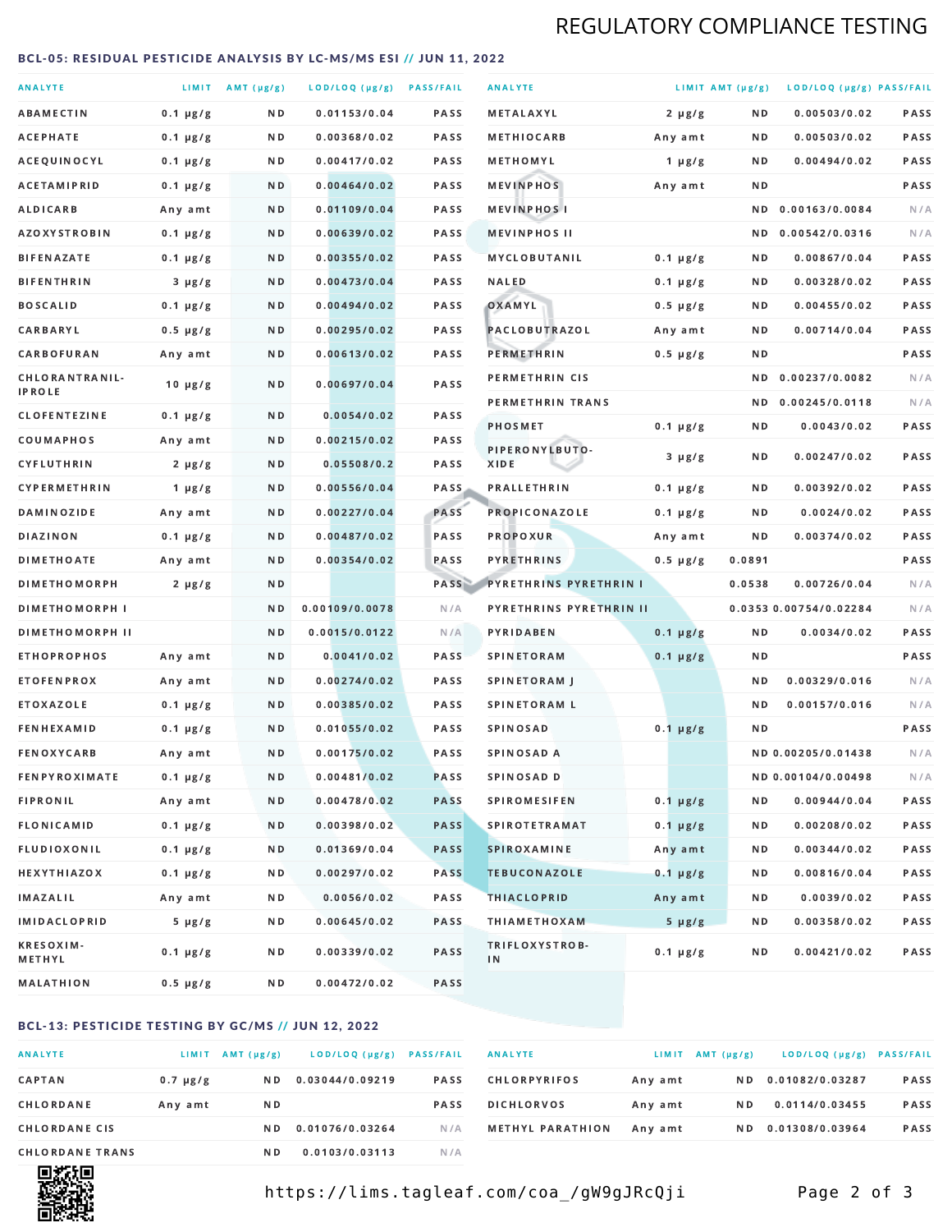# REGULATORY COMPLIANCE TESTING

#### <span id="page-1-0"></span>BCL-05: RESIDUAL PESTICIDE ANALYSIS BY LC-MS/MS ESI // JUN 11, 2022

| <b>ANALYTE</b>                  |               | LIMIT AMT (µg/g) | LOD/LOQ (µg/g) PASS/FAIL |             | <b>ANALYTE</b>                |               | LIMIT AMT (µg/g) | LOD/LOQ (µg/g) PASS/FAIL |             |
|---------------------------------|---------------|------------------|--------------------------|-------------|-------------------------------|---------------|------------------|--------------------------|-------------|
| <b>ABAMECTIN</b>                | $0.1 \mu g/g$ | ND.              | 0.01153/0.04             | <b>PASS</b> | <b>METALAXYL</b>              | $2 \mu g/g$   | N D              | 0.00503/0.02             | PASS        |
| ACEPHATE                        | $0.1 \mu g/g$ | N D              | 0.00368/0.02             | <b>PASS</b> | <b>METHIOCARB</b>             | Any amt       | N D              | 0.00503/0.02             | <b>PASS</b> |
| ACEQUINOCYL                     | $0.1 \mu g/g$ | N D              | 0.00417/0.02             | PASS        | METHOMYL                      | 1 $\mu$ g/g   | N D              | 0.00494/0.02             | PASS        |
| <b>ACETAMIPRID</b>              | $0.1 \mu g/g$ | ND.              | 0.00464/0.02             | <b>PASS</b> | <b>MEVINPHOS</b>              | Any amt       | N D              |                          | PASS        |
| <b>ALDICARB</b>                 | Any amt       | N D              | 0.01109/0.04             | <b>PASS</b> | <b>MEVINPHOSI</b>             |               | N D              | 0.00163/0.0084           | N/A         |
| <b>AZOXYSTROBIN</b>             | $0.1 \mu g/g$ | N D              | 0.00639/0.02             | <b>PASS</b> | <b>MEVINPHOS II</b>           |               | N D              | 0.00542/0.0316           | N/A         |
| <b>BIFENAZATE</b>               | $0.1 \mu g/g$ | N D              | 0.00355/0.02             | <b>PASS</b> | <b>MYCLOBUTANIL</b>           | $0.1 \mu g/g$ | N D              | 0.00867/0.04             | PASS        |
| <b>BIFENTHRIN</b>               | $3 \mu g/g$   | N D              | 0.00473/0.04             | <b>PASS</b> | <b>NALED</b>                  | $0.1 \mu g/g$ | N D              | 0.00328/0.02             | PASS        |
| <b>BOSCALID</b>                 | $0.1 \mu g/g$ | ND.              | 0.00494/0.02             | PASS        | OXAMYL                        | $0.5 \mu g/g$ | N D              | 0.00455/0.02             | <b>PASS</b> |
| CARBARYL                        | $0.5 \mu g/g$ | N D              | 0.00295/0.02             | PASS        | PACLOBUTRAZOL                 | Any amt       | N D              | 0.00714/0.04             | PASS        |
| CARBOFURAN                      | Any amt       | N D              | 0.00613/0.02             | <b>PASS</b> | PERMETHRIN                    | $0.5 \mu g/g$ | N D              |                          | PASS        |
| CHLORANTRANIL-<br><b>IPROLE</b> | $10 \mu g/g$  | N D              | 0.00697/0.04             | PASS        | PERMETHRIN CIS                |               | N D              | 0.00237/0.0082           | N/A         |
| <b>CLOFENTEZINE</b>             | $0.1 \mu g/g$ | ND               | 0.0054/0.02              | <b>PASS</b> | PERMETHRIN TRANS              |               |                  | ND 0.00245/0.0118        | N/A         |
| COUMAPHOS                       | Any amt       | N D              | 0.00215/0.02             | <b>PASS</b> | <b>PHOSMET</b>                | $0.1 \mu g/g$ | N D              | 0.0043/0.02              | PASS        |
| CYFLUTHRIN                      | $2 \mu g/g$   | ND.              | 0.05508/0.2              | <b>PASS</b> | PIPERONYLBUTO-<br>XIDE        | $3 \mu g/g$   | N D              | 0.00247/0.02             | PASS        |
| <b>CYPERMETHRIN</b>             | 1 $\mu$ g/g   | N D              | 0.00556/0.04             | <b>PASS</b> | <b>PRALLETHRIN</b>            | $0.1 \mu g/g$ | N D              | 0.00392/0.02             | PASS        |
| <b>DAMINOZIDE</b>               | Any amt       | ND.              | 0.00227/0.04             | PASS        | PROPICONAZOLE                 | $0.1 \mu g/g$ | N D              | 0.0024/0.02              | PASS        |
| <b>DIAZINON</b>                 | $0.1 \mu g/g$ | N D              | 0.00487/0.02             | <b>PASS</b> | <b>PROPOXUR</b>               | Any amt       | N D              | 0.00374/0.02             | PASS        |
| <b>DIMETHOATE</b>               | Any amt       | N D              | 0.00354/0.02             | PASS        | <b>PYRETHRINS</b>             | $0.5 \mu g/g$ | 0.0891           |                          | PASS        |
| <b>DIMETHOMORPH</b>             | $2 \mu g/g$   | N D              |                          | PASS        | <b>PYRETHRINS PYRETHRIN I</b> |               | 0.0538           | 0.00726/0.04             | N/A         |
| <b>DIMETHOMORPH I</b>           |               | N D              | 0.00109/0.0078           | N/A         | PYRETHRINS PYRETHRIN II       |               |                  | 0.0353 0.00754/0.02284   | N/A         |
| <b>DIMETHOMORPH II</b>          |               | ND               | 0.0015/0.0122            | N/A         | PYRIDABEN                     | $0.1 \mu g/g$ | N D              | 0.0034/0.02              | PASS        |
| <b>ETHOPROPHOS</b>              | Any amt       | ND.              | 0.0041/0.02              | PASS        | <b>SPINETORAM</b>             | $0.1 \mu g/g$ | N D              |                          | PASS        |
| <b>ETOFENPROX</b>               | Any amt       | N D              | 0.00274/0.02             | <b>PASS</b> | SPINETORAM J                  |               | N D              | 0.00329/0.016            | N/A         |
| <b>ETOXAZOLE</b>                | $0.1 \mu g/g$ | ND.              | 0.00385/0.02             | <b>PASS</b> | <b>SPINETORAM L</b>           |               | N D              | 0.00157/0.016            | N/A         |
| <b>FENHEXAMID</b>               | $0.1 \mu g/g$ | N D              | 0.01055/0.02             | PASS        | <b>SPINOSAD</b>               | $0.1 \mu g/g$ | N D              |                          | PASS        |
| <b>FENOXYCARB</b>               | Any amt       | N D              | 0.00175/0.02             | <b>PASS</b> | SPINOSAD A                    |               |                  | ND 0.00205/0.01438       | N/A         |
| <b>FENPYROXIMATE</b>            | $0.1 \mu g/g$ | N D              | 0.00481/0.02             | <b>PASS</b> | SPINOSAD D                    |               |                  | ND 0.00104/0.00498       | N/A         |
| <b>FIPRONIL</b>                 | Any amt       | N D              | 0.00478/0.02             | <b>PASS</b> | <b>SPIROMESIFEN</b>           | $0.1 \mu g/g$ | N D              | 0.00944/0.04             | PASS        |
| <b>FLONICAMID</b>               | $0.1 \mu g/g$ | N D              | 0.00398/0.02             | <b>PASS</b> | <b>SPIROTETRAMAT</b>          | $0.1 \mu g/g$ | N D              | 0.00208/0.02             | PASS        |
| FLUDIOXONIL                     | $0.1 \mu g/g$ | N D              | 0.01369/0.04             | <b>PASS</b> | SPIROXAMINE                   | Any amt       | N D              | 0.00344/0.02             | PASS        |
| <b>HEXYTHIAZOX</b>              | $0.1 \mu g/g$ | N D              | 0.00297/0.02             | <b>PASS</b> | <b>TEBUCONAZOLE</b>           | $0.1 \mu g/g$ | N D              | 0.00816/0.04             | PASS        |
| IMAZALIL                        | Any amt       | N D              | 0.0056/0.02              | PASS        | <b>THIACLOPRID</b>            | Any amt       | N D              | 0.0039/0.02              | PASS        |
| <b>IMIDACLOPRID</b>             | $5 \mu g/g$   | N D              | 0.00645/0.02             | PASS        | <b>THIAMETHOXAM</b>           | $5 \mu g/g$   | N D              | 0.00358/0.02             | PASS        |
| <b>KRESOXIM-</b><br>METHYL      | $0.1 \mu g/g$ | N D              | 0.00339/0.02             | PASS        | TRIFLOXYSTROB-<br>IN          | $0.1 \mu g/g$ | N D              | 0.00421/0.02             | PASS        |
| <b>MALATHION</b>                | 0.5 µg/g      | N D              | 0.00472/0.02             | PASS        |                               |               |                  |                          |             |

### BCL-13: PESTICIDE TESTING BY GC/MS // JUN 12, 2022

| <b>ANALYTE</b>         | LIMIT         | $AMT(\mu g/g)$ | LOD/LOQ (µg/g)  | <b>PASS/FAIL</b> |
|------------------------|---------------|----------------|-----------------|------------------|
| <b>CAPTAN</b>          | $0.7 \mu g/g$ | N D            | 0.03044/0.09219 | <b>PASS</b>      |
| CHLORDANE              | Any amt       | N D            |                 | <b>PASS</b>      |
| <b>CHLORDANE CIS</b>   |               | N D            | 0.01076/0.03264 | N / A            |
| <b>CHLORDANE TRANS</b> |               | N <sub>D</sub> | 0.0103/0.03113  | N/A              |

| <b>ANALYTE</b>          | LIMIT   | $AMT(\mu g/g)$ | LOD/LOQ (µg/g)  | <b>PASS/FAIL</b> |
|-------------------------|---------|----------------|-----------------|------------------|
| <b>CHLORPYRIFOS</b>     | Any amt | N D            | 0.01082/0.03287 | <b>PASS</b>      |
| <b>DICHLORVOS</b>       | Any amt | N D            | 0.0114/0.03455  | <b>PASS</b>      |
| <b>METHYL PARATHION</b> | Any amt | N D            | 0.01308/0.03964 | <b>PASS</b>      |